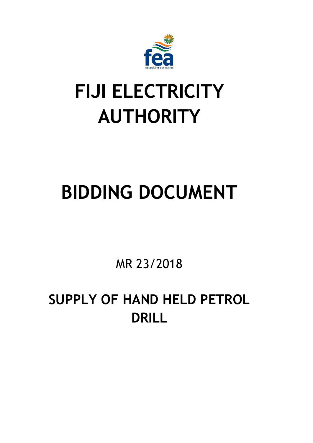

# **FIJI ELECTRICITY AUTHORITY**

# **BIDDING DOCUMENT**

MR 23/2018

**SUPPLY OF HAND HELD PETROL DRILL**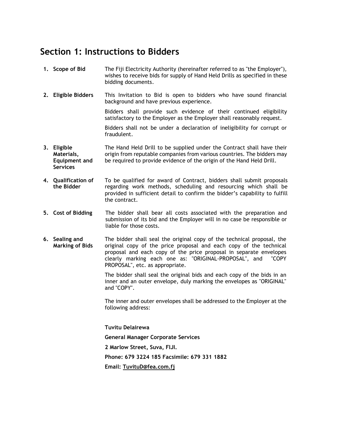### **Section 1: Instructions to Bidders**

- **1. Scope of Bid** The Fiji Electricity Authority (hereinafter referred to as "the Employer"), wishes to receive bids for supply of Hand Held Drills as specified in these bidding documents.
- **2. Eligible Bidders** This Invitation to Bid is open to bidders who have sound financial background and have previous experience.

Bidders shall provide such evidence of their continued eligibility satisfactory to the Employer as the Employer shall reasonably request.

Bidders shall not be under a declaration of ineligibility for corrupt or fraudulent.

- **3. Eligible Materials, Equipment and Services** The Hand Held Drill to be supplied under the Contract shall have their origin from reputable companies from various countries. The bidders may be required to provide evidence of the origin of the Hand Held Drill.
- **4. Qualification of the Bidder** To be qualified for award of Contract, bidders shall submit proposals regarding work methods, scheduling and resourcing which shall be provided in sufficient detail to confirm the bidder's capability to fulfill the contract.
- **5. Cost of Bidding** The bidder shall bear all costs associated with the preparation and submission of its bid and the Employer will in no case be responsible or liable for those costs.
- **6. Sealing and Marking of Bids** The bidder shall seal the original copy of the technical proposal, the original copy of the price proposal and each copy of the technical proposal and each copy of the price proposal in separate envelopes clearly marking each one as: "ORIGINAL-PROPOSAL", and "COPY PROPOSAL", etc. as appropriate.

The bidder shall seal the original bids and each copy of the bids in an inner and an outer envelope, duly marking the envelopes as "ORIGINAL" and "COPY".

The inner and outer envelopes shall be addressed to the Employer at the following address:

**Tuvitu Delairewa General Manager Corporate Services 2 Marlow Street, Suva, FIJI. Phone: 679 3224 185 Facsimile: 679 331 1882 Email: [TuvituD@fea.com.fj](mailto:TuvituD@fea.com.fj)**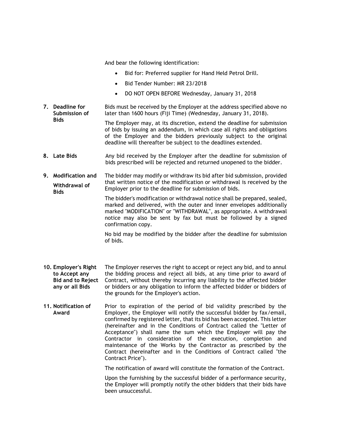And bear the following identification:

- Bid for: Preferred supplier for Hand Held Petrol Drill.
- Bid Tender Number: MR 23/2018
- DO NOT OPEN BEFORE Wednesday, January 31, 2018
- **7. Deadline for Submission of Bids** Bids must be received by the Employer at the address specified above no later than 1600 hours (Fiji Time) (Wednesday, January 31, 2018). The Employer may, at its discretion, extend the deadline for submission

of bids by issuing an addendum, in which case all rights and obligations of the Employer and the bidders previously subject to the original deadline will thereafter be subject to the deadlines extended.

- **8.** Late Bids **Any bid received by the Employer after the deadline for submission of** bids prescribed will be rejected and returned unopened to the bidder.
- **9. Modification and Withdrawal of Bids** The bidder may modify or withdraw its bid after bid submission, provided that written notice of the modification or withdrawal is received by the Employer prior to the deadline for submission of bids.

The bidder's modification or withdrawal notice shall be prepared, sealed, marked and delivered, with the outer and inner envelopes additionally marked "MODIFICATION" or "WITHDRAWAL", as appropriate. A withdrawal notice may also be sent by fax but must be followed by a signed confirmation copy.

No bid may be modified by the bidder after the deadline for submission of bids.

- **10. Employer's Right to Accept any Bid and to Reject any or all Bids** The Employer reserves the right to accept or reject any bid, and to annul the bidding process and reject all bids, at any time prior to award of Contract, without thereby incurring any liability to the affected bidder or bidders or any obligation to inform the affected bidder or bidders of the grounds for the Employer's action.
- **11. Notification of Award** Prior to expiration of the period of bid validity prescribed by the Employer, the Employer will notify the successful bidder by fax/email, confirmed by registered letter, that its bid has been accepted. This letter (hereinafter and in the Conditions of Contract called the "Letter of Acceptance") shall name the sum which the Employer will pay the Contractor in consideration of the execution, completion and maintenance of the Works by the Contractor as prescribed by the Contract (hereinafter and in the Conditions of Contract called "the Contract Price").

The notification of award will constitute the formation of the Contract.

Upon the furnishing by the successful bidder of a performance security, the Employer will promptly notify the other bidders that their bids have been unsuccessful.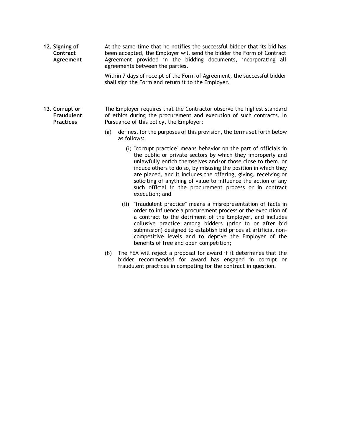**12. Signing of Contract Agreement** At the same time that he notifies the successful bidder that its bid has been accepted, the Employer will send the bidder the Form of Contract Agreement provided in the bidding documents, incorporating all agreements between the parties.

> Within 7 days of receipt of the Form of Agreement, the successful bidder shall sign the Form and return it to the Employer.

- **13. Corrupt or Fraudulent Practices** The Employer requires that the Contractor observe the highest standard of ethics during the procurement and execution of such contracts. In Pursuance of this policy, the Employer:
	- (a) defines, for the purposes of this provision, the terms set forth below as follows:
		- (i) "corrupt practice" means behavior on the part of officials in the public or private sectors by which they improperly and unlawfully enrich themselves and/or those close to them, or induce others to do so, by misusing the position in which they are placed, and it includes the offering, giving, receiving or soliciting of anything of value to influence the action of any such official in the procurement process or in contract execution; and
		- (ii) "fraudulent practice" means a misrepresentation of facts in order to influence a procurement process or the execution of a contract to the detriment of the Employer, and includes collusive practice among bidders (prior to or after bid submission) designed to establish bid prices at artificial noncompetitive levels and to deprive the Employer of the benefits of free and open competition;
	- (b) The FEA will reject a proposal for award if it determines that the bidder recommended for award has engaged in corrupt or fraudulent practices in competing for the contract in question.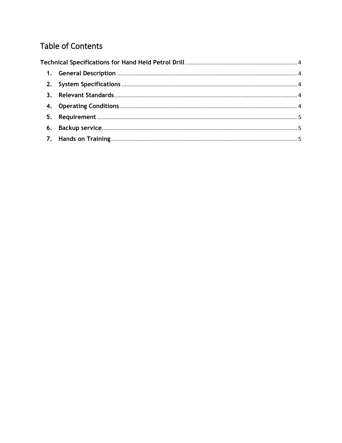## **Table of Contents**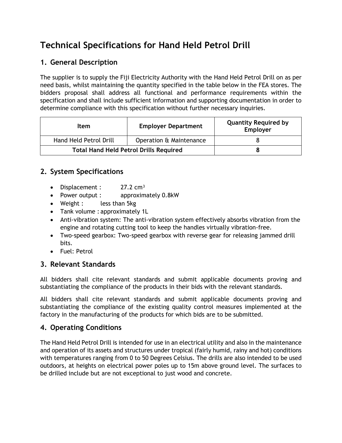## <span id="page-5-0"></span>**Technical Specifications for Hand Held Petrol Drill**

#### <span id="page-5-1"></span>**1. General Description**

The supplier is to supply the Fiji Electricity Authority with the Hand Held Petrol Drill on as per need basis, whilst maintaining the quantity specified in the table below in the FEA stores. The bidders proposal shall address all functional and performance requirements within the specification and shall include sufficient information and supporting documentation in order to determine compliance with this specification without further necessary inquiries.

| Item                                          | <b>Employer Department</b> | <b>Quantity Required by</b><br>Employer |
|-----------------------------------------------|----------------------------|-----------------------------------------|
| Hand Held Petrol Drill                        | Operation & Maintenance    |                                         |
| <b>Total Hand Held Petrol Drills Required</b> |                            |                                         |

#### <span id="page-5-2"></span>**2. System Specifications**

- Displacement :  $27.2 \text{ cm}^3$
- Power output : approximately 0.8kW
- Weight : less than 5kg
- Tank volume : approximately 1L
- Anti-vibration system: The anti-vibration system effectively absorbs vibration from the engine and rotating cutting tool to keep the handles virtually vibration-free.
- Two-speed gearbox: Two-speed gearbox with reverse gear for releasing jammed drill bits.
- Fuel: Petrol

#### <span id="page-5-3"></span>**3. Relevant Standards**

All bidders shall cite relevant standards and submit applicable documents proving and substantiating the compliance of the products in their bids with the relevant standards.

All bidders shall cite relevant standards and submit applicable documents proving and substantiating the compliance of the existing quality control measures implemented at the factory in the manufacturing of the products for which bids are to be submitted.

#### <span id="page-5-4"></span>**4. Operating Conditions**

The Hand Held Petrol Drill is intended for use in an electrical utility and also in the maintenance and operation of its assets and structures under tropical (fairly humid, rainy and hot) conditions with temperatures ranging from 0 to 50 Degrees Celsius. The drills are also intended to be used outdoors, at heights on electrical power poles up to 15m above ground level. The surfaces to be drilled include but are not exceptional to just wood and concrete.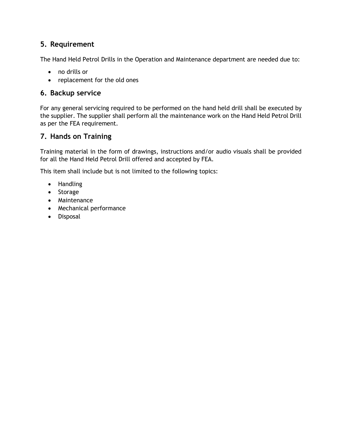#### <span id="page-6-0"></span>**5. Requirement**

The Hand Held Petrol Drills in the Operation and Maintenance department are needed due to:

- no drills or
- replacement for the old ones

#### <span id="page-6-1"></span>**6. Backup service**

For any general servicing required to be performed on the hand held drill shall be executed by the supplier. The supplier shall perform all the maintenance work on the Hand Held Petrol Drill as per the FEA requirement.

### <span id="page-6-2"></span>**7. Hands on Training**

Training material in the form of drawings, instructions and/or audio visuals shall be provided for all the Hand Held Petrol Drill offered and accepted by FEA.

This item shall include but is not limited to the following topics:

- Handling
- Storage
- Maintenance
- Mechanical performance
- **•** Disposal